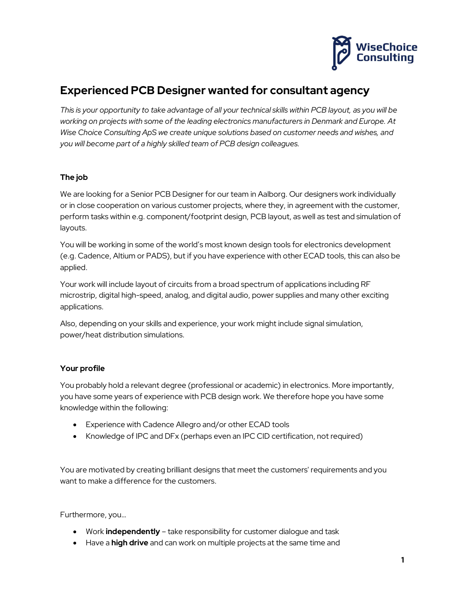

# Experienced PCB Designer wanted for consultant agency

This is your opportunity to take advantage of all your technical skills within PCB layout, as you will be working on projects with some of the leading electronics manufacturers in Denmark and Europe. At Wise Choice Consulting ApS we create unique solutions based on customer needs and wishes, and you will become part of a highly skilled team of PCB design colleagues.

# The job

We are looking for a Senior PCB Designer for our team in Aalborg. Our designers work individually or in close cooperation on various customer projects, where they, in agreement with the customer, perform tasks within e.g. component/footprint design, PCB layout, as well as test and simulation of layouts.

You will be working in some of the world's most known design tools for electronics development (e.g. Cadence, Altium or PADS), but if you have experience with other ECAD tools, this can also be applied.

Your work will include layout of circuits from a broad spectrum of applications including RF microstrip, digital high-speed, analog, and digital audio, power supplies and many other exciting applications.

Also, depending on your skills and experience, your work might include signal simulation, power/heat distribution simulations.

# Your profile

You probably hold a relevant degree (professional or academic) in electronics. More importantly, you have some years of experience with PCB design work. We therefore hope you have some knowledge within the following:

- Experience with Cadence Allegro and/or other ECAD tools
- Knowledge of IPC and DFx (perhaps even an IPC CID certification, not required)

You are motivated by creating brilliant designs that meet the customers' requirements and you want to make a difference for the customers.

Furthermore, you…

- Work independently take responsibility for customer dialogue and task
- Have a **high drive** and can work on multiple projects at the same time and